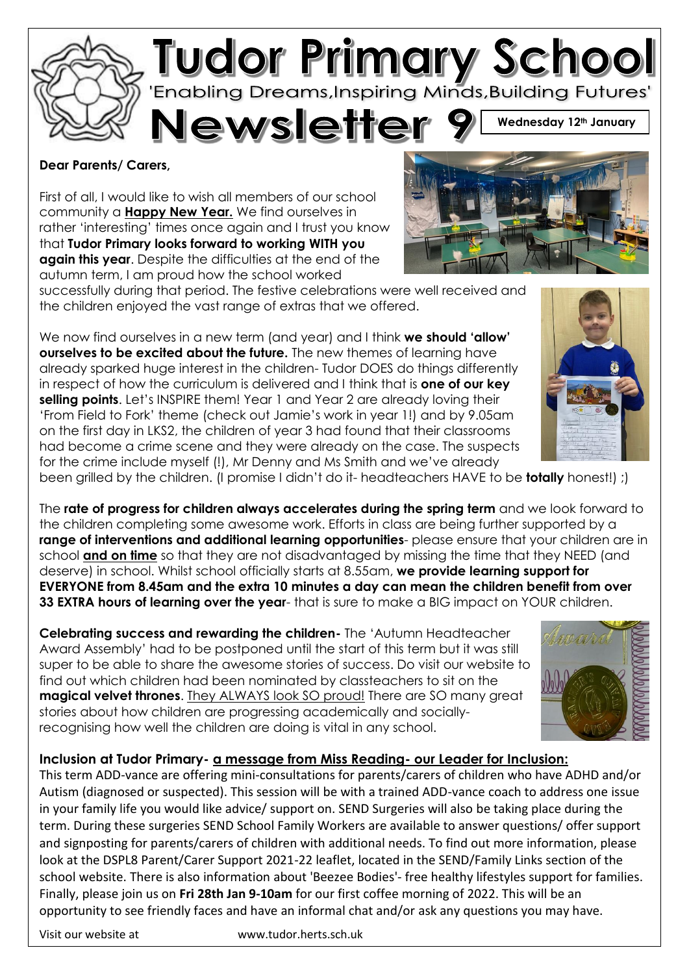

## **Dear Parents/ Carers,**

First of all, I would like to wish all members of our school community a **Happy New Year.** We find ourselves in rather 'interesting' times once again and I trust you know that **Tudor Primary looks forward to working WITH you again this year**. Despite the difficulties at the end of the autumn term, I am proud how the school worked

successfully during that period. The festive celebrations were well received and the children enjoyed the vast range of extras that we offered.

We now find ourselves in a new term (and year) and I think **we should 'allow' ourselves to be excited about the future.** The new themes of learning have already sparked huge interest in the children- Tudor DOES do things differently in respect of how the curriculum is delivered and I think that is **one of our key selling points**. Let's INSPIRE them! Year 1 and Year 2 are already loving their 'From Field to Fork' theme (check out Jamie's work in year 1!) and by 9.05am on the first day in LKS2, the children of year 3 had found that their classrooms had become a crime scene and they were already on the case. The suspects for the crime include myself (!), Mr Denny and Ms Smith and we've already



been grilled by the children. (I promise I didn't do it- headteachers HAVE to be **totally** honest!) ;)

The **rate of progress for children always accelerates during the spring term** and we look forward to the children completing some awesome work. Efforts in class are being further supported by a **range of interventions and additional learning opportunities**- please ensure that your children are in school **and on time** so that they are not disadvantaged by missing the time that they NEED (and deserve) in school. Whilst school officially starts at 8.55am, **we provide learning support for EVERYONE from 8.45am and the extra 10 minutes a day can mean the children benefit from over 33 EXTRA hours of learning over the year**- that is sure to make a BIG impact on YOUR children.

**Celebrating success and rewarding the children-** The 'Autumn Headteacher Award Assembly' had to be postponed until the start of this term but it was still super to be able to share the awesome stories of success. Do visit our website to find out which children had been nominated by classteachers to sit on the **magical velvet thrones**. They ALWAYS look SO proud! There are SO many great stories about how children are progressing academically and sociallyrecognising how well the children are doing is vital in any school.



## **Inclusion at Tudor Primary- a message from Miss Reading- our Leader for Inclusion:**

This term ADD-vance are offering mini-consultations for parents/carers of children who have ADHD and/or Autism (diagnosed or suspected). This session will be with a trained ADD-vance coach to address one issue in your family life you would like advice/ support on. SEND Surgeries will also be taking place during the term. During these surgeries SEND School Family Workers are available to answer questions/ offer support and signposting for parents/carers of children with additional needs. To find out more information, please look at the DSPL8 Parent/Carer Support 2021-22 leaflet, located in the SEND/Family Links section of the school website. There is also information about 'Beezee Bodies'- free healthy lifestyles support for families. Finally, please join us on **Fri 28th Jan 9-10am** for our first coffee morning of 2022. This will be an opportunity to see friendly faces and have an informal chat and/or ask any questions you may have.

Visit our website at www.tudor.herts.sch.uk